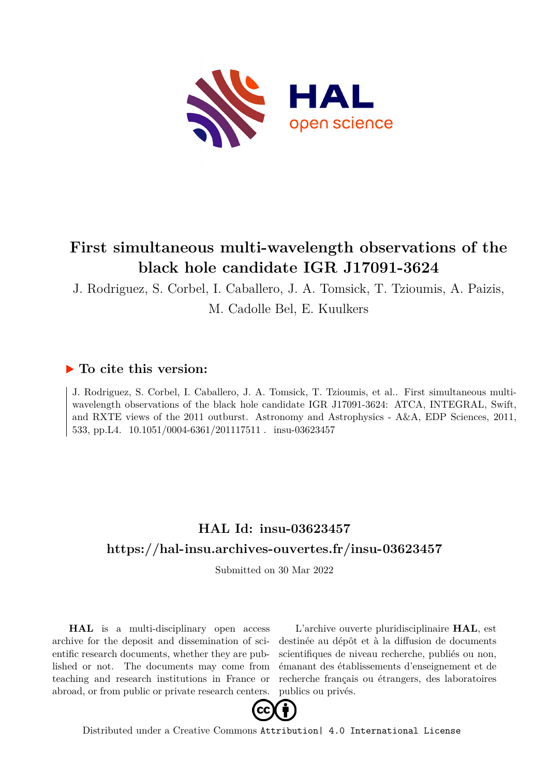

# **First simultaneous multi-wavelength observations of the black hole candidate IGR J17091-3624**

J. Rodriguez, S. Corbel, I. Caballero, J. A. Tomsick, T. Tzioumis, A. Paizis, M. Cadolle Bel, E. Kuulkers

### **To cite this version:**

J. Rodriguez, S. Corbel, I. Caballero, J. A. Tomsick, T. Tzioumis, et al.. First simultaneous multiwavelength observations of the black hole candidate IGR J17091-3624: ATCA, INTEGRAL, Swift, and RXTE views of the 2011 outburst. Astronomy and Astrophysics - A&A, EDP Sciences, 2011, 533, pp. L4. 10.1051/0004-6361/201117511 . insu-03623457

## **HAL Id: insu-03623457 <https://hal-insu.archives-ouvertes.fr/insu-03623457>**

Submitted on 30 Mar 2022

**HAL** is a multi-disciplinary open access archive for the deposit and dissemination of scientific research documents, whether they are published or not. The documents may come from teaching and research institutions in France or abroad, or from public or private research centers.

L'archive ouverte pluridisciplinaire **HAL**, est destinée au dépôt et à la diffusion de documents scientifiques de niveau recherche, publiés ou non, émanant des établissements d'enseignement et de recherche français ou étrangers, des laboratoires publics ou privés.



Distributed under a Creative Commons [Attribution| 4.0 International License](http://creativecommons.org/licenses/by/4.0/)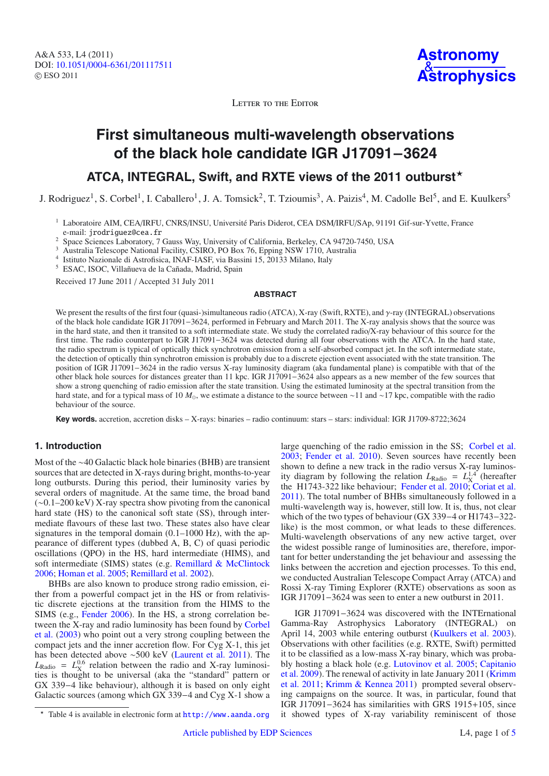A&A 533, L4 (2011) DOI: 10.1051/0004-6361/[201117511](http://dx.doi.org/10.1051/0004-6361/201117511) © ESO 2011



LETTER TO THE EDITOR

## **First simultaneous multi-wavelength observations of the black hole candidate IGR J17091**−**3624**

### **ATCA, INTEGRAL, Swift, and RXTE views of the 2011 outburst**-

J. Rodriguez<sup>1</sup>, S. Corbel<sup>1</sup>, I. Caballero<sup>1</sup>, J. A. Tomsick<sup>2</sup>, T. Tzioumis<sup>3</sup>, A. Paizis<sup>4</sup>, M. Cadolle Bel<sup>5</sup>, and E. Kuulkers<sup>5</sup>

- <sup>1</sup> Laboratoire AIM, CEA/IRFU, CNRS/INSU, Université Paris Diderot, CEA DSM/IRFU/SAp, 91191 Gif-sur-Yvette, France e-mail: jrodriguez@cea.fr
- <sup>2</sup> Space Sciences Laboratory, 7 Gauss Way, University of California, Berkeley, CA 94720-7450, USA
- <sup>3</sup> Australia Telescope National Facility, CSIRO, PO Box 76, Epping NSW 1710, Australia
- <sup>4</sup> Istituto Nazionale di Astrofisica, INAF-IASF, via Bassini 15, 20133 Milano, Italy
- <sup>5</sup> ESAC, ISOC, Villañueva de la Cañada, Madrid, Spain

Received 17 June 2011 / Accepted 31 July 2011

#### **ABSTRACT**

We present the results of the first four (quasi-)simultaneous radio (ATCA), X-ray (Swift, RXTE), and γ-ray (INTEGRAL) observations of the black hole candidate IGR J17091−3624, performed in February and March 2011. The X-ray analysis shows that the source was in the hard state, and then it transited to a soft intermediate state. We study the correlated radio/X-ray behaviour of this source for the first time. The radio counterpart to IGR J17091−3624 was detected during all four observations with the ATCA. In the hard state, the radio spectrum is typical of optically thick synchrotron emission from a self-absorbed compact jet. In the soft intermediate state, the detection of optically thin synchrotron emission is probably due to a discrete ejection event associated with the state transition. The position of IGR J17091−3624 in the radio versus X-ray luminosity diagram (aka fundamental plane) is compatible with that of the other black hole sources for distances greater than 11 kpc. IGR J17091−3624 also appears as a new member of the few sources that show a strong quenching of radio emission after the state transition. Using the estimated luminosity at the spectral transition from the hard state, and for a typical mass of 10 *M*, we estimate a distance to the source between ∼11 and ∼17 kpc, compatible with the radio behaviour of the source.

**Key words.** accretion, accretion disks – X-rays: binaries – radio continuum: stars – stars: individual: IGR J1709-8722;3624

### **1. Introduction**

Most of the ∼40 Galactic black hole binaries (BHB) are transient sources that are detected in X-rays during bright, months-to-year long outbursts. During this period, their luminosity varies by several orders of magnitude. At the same time, the broad band (∼0.1–200 keV) X-ray spectra show pivoting from the canonical hard state (HS) to the canonical soft state (SS), through intermediate flavours of these last two. These states also have clear signatures in the temporal domain (0.1–1000 Hz), with the appearance of different types (dubbed A, B, C) of quasi periodic oscillations (QPO) in the HS, hard intermediate (HIMS), and soft intermediate (SIMS) states (e.g. Remillard & McClintock 2006; Homan et al. 2005; Remillard et al. 2002).

BHBs are also known to produce strong radio emission, either from a powerful compact jet in the HS or from relativistic discrete ejections at the transition from the HIMS to the SIMS (e.g., Fender 2006). In the HS, a strong correlation between the X-ray and radio luminosity has been found by Corbel et al. (2003) who point out a very strong coupling between the compact jets and the inner accretion flow. For Cyg X-1, this jet has been detected above ∼500 keV (Laurent et al. 2011). The  $L_{\text{Radio}} = L_{\text{X}}^{0.6}$  relation between the radio and X-ray luminosities is thought to be universal (aka the "standard" pattern or GX 339−4 like behaviour), although it is based on only eight Galactic sources (among which GX 339−4 and Cyg X-1 show a

IGR J17091−3624 was discovered with the INTErnational Gamma-Ray Astrophysics Laboratory (INTEGRAL) on April 14, 2003 while entering outburst (Kuulkers et al. 2003). Observations with other facilities (e.g. RXTE, Swift) permitted it to be classified as a low-mass X-ray binary, which was probably hosting a black hole (e.g. Lutovinov et al. 2005; Capitanio et al. 2009). The renewal of activity in late January 2011 (Krimm et al. 2011; Krimm & Kennea 2011) prompted several observing campaigns on the source. It was, in particular, found that IGR J17091−3624 has similarities with GRS 1915+105, since it showed types of X-ray variability reminiscent of those

large quenching of the radio emission in the SS; Corbel et al. 2003; Fender et al. 2010). Seven sources have recently been shown to define a new track in the radio versus X-ray luminosity diagram by following the relation  $L_{\text{Radio}} = L_{\text{X}}^{1.4}$  (hereafter the H1743-322 like behaviour; Fender et al. 2010; Coriat et al. 2011). The total number of BHBs simultaneously followed in a multi-wavelength way is, however, still low. It is, thus, not clear which of the two types of behaviour (GX 339−4 or H1743−322 like) is the most common, or what leads to these differences. Multi-wavelength observations of any new active target, over the widest possible range of luminosities are, therefore, important for better understanding the jet behaviour and assessing the links between the accretion and ejection processes. To this end, we conducted Australian Telescope Compact Array (ATCA) and Rossi X-ray Timing Explorer (RXTE) observations as soon as IGR J17091−3624 was seen to enter a new outburst in 2011.

<sup>\*</sup> Table 4 is available in electronic form at <http://www.aanda.org>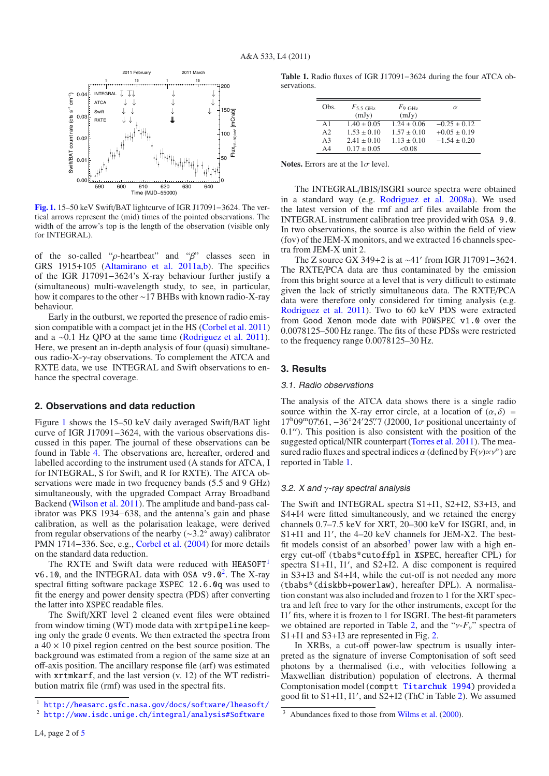

**[Fig. 1.](http://dexter.edpsciences.org/applet.php?DOI=10.1051/0004-6361/201117511&pdf_id=1)** 15–50 keV Swift/BAT lightcurve of IGR J17091−3624. The vertical arrows represent the (mid) times of the pointed observations. The width of the arrow's top is the length of the observation (visible only for INTEGRAL).

of the so-called "ρ-heartbeat" and "β" classes seen in GRS 1915+105 (Altamirano et al. 2011a,b). The specifics of the IGR J17091−3624's X-ray behaviour further justify a (simultaneous) multi-wavelength study, to see, in particular, how it compares to the other ∼17 BHBs with known radio-X-ray behaviour.

Early in the outburst, we reported the presence of radio emission compatible with a compact jet in the HS (Corbel et al. 2011) and a ∼0.1 Hz QPO at the same time (Rodriguez et al. 2011). Here, we present an in-depth analysis of four (quasi) simultaneous radio-X-γ-ray observations. To complement the ATCA and RXTE data, we use INTEGRAL and Swift observations to enhance the spectral coverage.

#### **2. Observations and data reduction**

Figure 1 shows the 15–50 keV daily averaged Swift/BAT light curve of IGR J17091−3624, with the various observations discussed in this paper. The journal of these observations can be found in Table 4. The observations are, hereafter, ordered and labelled according to the instrument used (A stands for ATCA, I for INTEGRAL, S for Swift, and R for RXTE). The ATCA observations were made in two frequency bands (5.5 and 9 GHz) simultaneously, with the upgraded Compact Array Broadband Backend (Wilson et al. 2011). The amplitude and band-pass calibrator was PKS 1934−638, and the antenna's gain and phase calibration, as well as the polarisation leakage, were derived from regular observations of the nearby (∼3.2◦ away) calibrator PMN 1714−336. See, e.g., Corbel et al. (2004) for more details on the standard data reduction.

The RXTE and Swift data were reduced with HEASOFT<sup>1</sup> v6.10, and the INTEGRAL data with OSA v9.0<sup>2</sup>. The X-ray spectral fitting software package XSPEC 12.6.0q was used to fit the energy and power density spectra (PDS) after converting the latter into XSPEC readable files.

The Swift/XRT level 2 cleaned event files were obtained from window timing (WT) mode data with xrtpipeline keeping only the grade 0 events. We then extracted the spectra from a  $40 \times 10$  pixel region centred on the best source position. The background was estimated from a region of the same size at an off-axis position. The ancillary response file (arf) was estimated with xrtmkarf, and the last version (v. 12) of the WT redistribution matrix file (rmf) was used in the spectral fits.

**Table 1.** Radio fluxes of IGR J17091−3624 during the four ATCA observations.

| Obs.           | $F$ 5.5 GHz     | F <sub>9 GHz</sub> | $\alpha$         |
|----------------|-----------------|--------------------|------------------|
|                | (mJy)           | (mJy)              |                  |
| $\Delta$ 1     | $1.40 \pm 0.05$ | $1.24 \pm 0.06$    | $-0.25 \pm 0.12$ |
| A <sub>2</sub> | $1.53 \pm 0.10$ | $1.57 \pm 0.10$    | $+0.05 \pm 0.19$ |
| A <sup>3</sup> | $2.41 \pm 0.10$ | $1.13 \pm 0.10$    | $-1.54 \pm 0.20$ |
| A4             | $0.17 \pm 0.05$ | < 0.08             |                  |

**Notes.** Errors are at the  $1\sigma$  level.

The INTEGRAL/IBIS/ISGRI source spectra were obtained in a standard way (e.g. Rodriguez et al. 2008a). We used the latest version of the rmf and arf files available from the INTEGRAL instrument calibration tree provided with OSA 9.0. In two observations, the source is also within the field of view (fov) of the JEM-X monitors, and we extracted 16 channels spectra from JEM-X unit 2.

The Z source GX 349+2 is at ~41' from IGR J17091–3624. The RXTE/PCA data are thus contaminated by the emission from this bright source at a level that is very difficult to estimate given the lack of strictly simultaneous data. The RXTE/PCA data were therefore only considered for timing analysis (e.g. Rodriguez et al. 2011). Two to 60 keV PDS were extracted from Good Xenon mode date with POWSPEC v1.0 over the 0.0078125–500 Hz range. The fits of these PDSs were restricted to the frequency range 0.0078125–30 Hz.

#### **3. Results**

#### 3.1. Radio observations

The analysis of the ATCA data shows there is a single radio source within the X-ray error circle, at a location of  $(\alpha, \delta)$  =  $17^{\text{h}}09^{\text{m}}07\overset{\text{6}}{0}1, -36^{\circ}24^{\prime}25\overset{\prime\prime}{0}7$  (J2000, 1 $\sigma$  positional uncertainty of  $0.1$ "). This position is also consistent with the position of the suggested optical/NIR counterpart (Torres et al. 2011). The measured radio fluxes and spectral indices  $\alpha$  (defined by  $F(v) \propto v^{\alpha}$ ) are reported in Table 1.

#### 3.2. X and  $\gamma$ -ray spectral analysis

The Swift and INTEGRAL spectra S1+I1, S2+I2, S3+I3, and S4+I4 were fitted simultaneously, and we retained the energy channels 0.7–7.5 keV for XRT, 20–300 keV for ISGRI, and, in S1+I1 and I1 , the 4–20 keV channels for JEM-X2. The bestfit models consist of an absorbed<sup>3</sup> power law with a high energy cut-off (tbabs\*cutoffpl in XSPEC, hereafter CPL) for spectra S1+I1, I1 , and S2+I2. A disc component is required in S3+I3 and S4+I4, while the cut-off is not needed any more (tbabs\*(diskbb+powerlaw), hereafter DPL). A normalisation constant was also included and frozen to 1 for the XRT spectra and left free to vary for the other instruments, except for the I1' fits, where it is frozen to 1 for ISGRI. The best-fit parameters we obtained are reported in Table 2, and the " $v$ - $F_v$ " spectra of S1+I1 and S3+I3 are represented in Fig. 2.

In XRBs, a cut-off power-law spectrum is usually interpreted as the signature of inverse Comptonisation of soft seed photons by a thermalised (i.e., with velocities following a Maxwellian distribution) population of electrons. A thermal Comptonisation model (comptt Titarchuk 1994) provided a good fit to S1+I1, I1 , and S2+I2 (ThC in Table 2). We assumed

<sup>1</sup> <http://heasarc.gsfc.nasa.gov/docs/software/lheasoft/>

<sup>2</sup> <http://www.isdc.unige.ch/integral/analysis#Software>

<sup>&</sup>lt;sup>3</sup> Abundances fixed to those from Wilms et al. (2000).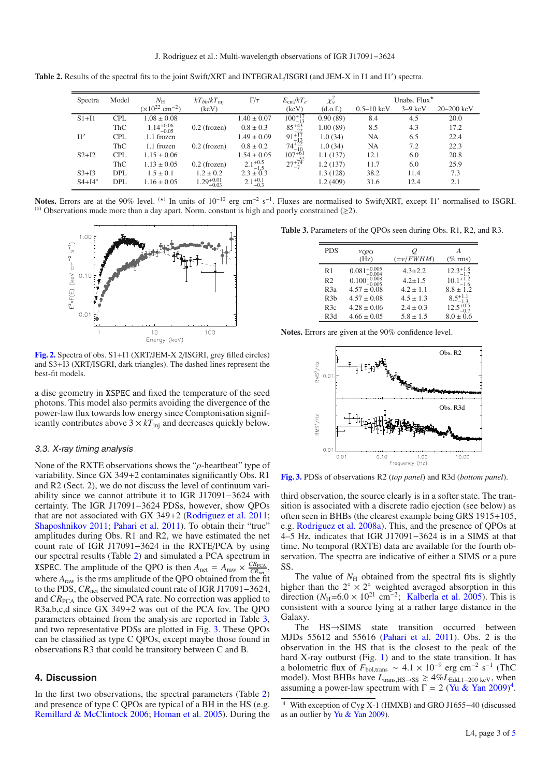**Table 2.** Results of the spectral fits to the joint Swift/XRT and INTEGRAL/ISGRI (and JEM-X in I1 and I1 ) spectra.

| Spectra         | Model      | $N_{\rm H}$                          | $kT_{bb}/kT_{\text{ini}}$ | $\Gamma/\tau$       | $E_{\rm cut}/kT_e$                       | $\chi^2_{\nu}$ | Unabs. Flux $^{\star}$ |           |                |
|-----------------|------------|--------------------------------------|---------------------------|---------------------|------------------------------------------|----------------|------------------------|-----------|----------------|
|                 |            | $(\times 10^{22}$ cm <sup>-2</sup> ) | (keV)                     |                     | (keV)                                    | (d.o.f.)       | $0.5 - 10 \text{ keV}$ | $3-9$ keV | $20 - 200$ keV |
| $S1+I1$         | <b>CPL</b> | $1.08 \pm 0.08$                      |                           | $1.40 \pm 0.07$     |                                          | 0.90(89)       | 8.4                    | 4.5       | 20.0           |
|                 | ThC        | $1.14^{+0.06}_{-0.05}$               | $0.2$ (frozen)            | $0.8 \pm 0.3$       | $\frac{100^{+17}_{-13}}{85^{+43}_{-22}}$ | 1.00(89)       | 8.5                    | 4.3       | 17.2           |
| 11'             | <b>CPL</b> | 1.1 frozen                           |                           | $1.49 \pm 0.09$     | $91^{+17}_{-13}$<br>$74^{+22}_{-10}$     | 1.0(34)        | NA                     | 6.5       | 22.4           |
|                 | ThC        | 1.1 frozen                           | $0.2$ (frozen)            | $0.8 \pm 0.2$       |                                          | 1.0(34)        | NA                     | 7.2       | 22.3           |
| $S2+I2$         | <b>CPL</b> | $1.15 \pm 0.06$                      |                           | $1.54 \pm 0.05$     | $107^{+61}_{-32}$<br>$27^{+74}_{-7}$     | 1.1(137)       | 12.1                   | 6.0       | 20.8           |
|                 | ThC        | $1.13 \pm 0.05$                      | $0.2$ (frozen)            | $2.1_{-1.5}^{+0.5}$ |                                          | 1.2(137)       | 11.7                   | 6.0       | 25.9           |
| $S3+I3$         | <b>DPL</b> | $1.5 \pm 0.1$                        | $1.2 \pm 0.2$             | $2.3 \pm 0.3$       |                                          | 1.3(128)       | 38.2                   | 11.4      | 7.3            |
| $S4+I4^{\circ}$ | <b>DPL</b> | $1.16 \pm 0.05$                      | $1.29^{+0.01}_{-0.03}$    | $2.1_{-0.3}^{+0.1}$ |                                          | 1.2(409)       | 31.6                   | 12.4      | 2.1            |

Notes. Errors are at the 90% level. <sup>(\*)</sup> In units of 10<sup>-10</sup> erg cm<sup>-2</sup> s<sup>-1</sup>. Fluxes are normalised to Swift/XRT, except I1' normalised to ISGRI.  $(0)$  Observations made more than a day apart. Norm. constant is high and poorly constrained ( $\geq 2$ ).



**[Fig. 2.](http://dexter.edpsciences.org/applet.php?DOI=10.1051/0004-6361/201117511&pdf_id=2)** Spectra of obs. S1+I1 (XRT/JEM-X 2/ISGRI, grey filled circles) and S3+I3 (XRT/ISGRI, dark triangles). The dashed lines represent the best-fit models.

a disc geometry in XSPEC and fixed the temperature of the seed photons. This model also permits avoiding the divergence of the power-law flux towards low energy since Comptonisation significantly contributes above  $3 \times kT_{\text{inj}}$  and decreases quickly below.

#### 3.3. X-ray timing analysis

None of the RXTE observations shows the " $\rho$ -heartbeat" type of variability. Since GX 349+2 contaminates significantly Obs. R1 and R2 (Sect. 2), we do not discuss the level of continuum variability since we cannot attribute it to IGR J17091−3624 with certainty. The IGR J17091−3624 PDSs, however, show QPOs that are not associated with GX 349+2 (Rodriguez et al. 2011; Shaposhnikov 2011; Pahari et al. 2011). To obtain their "true" amplitudes during Obs. R1 and R2, we have estimated the net count rate of IGR J17091−3624 in the RXTE/PCA by using our spectral results (Table 2) and simulated a PCA spectrum in **XSPEC.** The amplitude of the QPO is then  $A_{\text{net}} = A_{\text{raw}} \times \frac{CR_{\text{PCA}}}{CR_{\text{net}}}$ , where *A*raw is the rms amplitude of the QPO obtained from the fit to the PDS, *CR*net the simulated count rate of IGR J17091−3624, and *CR*<sub>PCA</sub> the observed PCA rate. No correction was applied to R3a,b,c,d since GX 349+2 was out of the PCA fov. The QPO parameters obtained from the analysis are reported in Table 3, and two representative PDSs are plotted in Fig. 3. These QPOs can be classified as type C QPOs, except maybe those found in observations R3 that could be transitory between C and B.

#### **4. Discussion**

In the first two observations, the spectral parameters (Table 2) and presence of type C QPOs are typical of a BH in the HS (e.g. Remillard & McClintock 2006; Homan et al. 2005). During the

**Table 3.** Parameters of the QPOs seen during Obs. R1, R2, and R3.

| <b>PDS</b>       | VOPO<br>(Hz)              | U<br>$(=\nu/FWHM)$ | А<br>$(\%$ rms)      |
|------------------|---------------------------|--------------------|----------------------|
| R1               | $0.081^{+0.005}_{-0.004}$ | $4.3 \pm 2.2$      | $12.3^{+1.8}_{-1.7}$ |
| R <sub>2</sub>   | $0.100^{+0.008}_{-0.005}$ | $4.2 \pm 1.5$      | $10.1_{-1.6}^{+1.2}$ |
| R3a              | $4.57 \pm 0.08$           | $4.2 \pm 1.1$      | $8.8 \pm 1.2$        |
| R3b              | $4.57 \pm 0.08$           | $4.5 \pm 1.3$      | $8.5^{+1.1}_{-1.3}$  |
| R3c              | $4.28 \pm 0.06$           | $2.4 \pm 0.3$      | $12.5^{+0.5}_{-0.7}$ |
| R <sub>3</sub> d | $4.66 \pm 0.05$           | $5.8 \pm 1.5$      | $8.0 \pm 0.6$        |

**Notes.** Errors are given at the 90% confidence level.



**[Fig. 3.](http://dexter.edpsciences.org/applet.php?DOI=10.1051/0004-6361/201117511&pdf_id=3)** PDSs of observations R2 (*top panel*) and R3d (*bottom panel*).

third observation, the source clearly is in a softer state. The transition is associated with a discrete radio ejection (see below) as often seen in BHBs (the clearest example being GRS 1915+105, e.g. Rodriguez et al. 2008a). This, and the presence of QPOs at 4–5 Hz, indicates that IGR J17091−3624 is in a SIMS at that time. No temporal (RXTE) data are available for the fourth observation. The spectra are indicative of either a SIMS or a pure SS.

The value of  $N<sub>H</sub>$  obtained from the spectral fits is slightly higher than the  $2° \times 2°$  weighted averaged absorption in this direction ( $N_H$ =6.0 × 10<sup>21</sup> cm<sup>-2</sup>; Kalberla et al. 2005). This is consistent with a source lying at a rather large distance in the Galaxy.

The HS→SIMS state transition occurred between MJDs 55612 and 55616 (Pahari et al. 2011). Obs. 2 is the observation in the HS that is the closest to the peak of the hard X-ray outburst (Fig. 1) and to the state transition. It has a bolometric flux of  $F_{\text{bol,trans}} \sim 4.1 \times 10^{-9}$  erg cm<sup>-2</sup> s<sup>-1</sup> (ThC model). Most BHBs have *L*<sub>trans,HS→SS</sub>  $\geq 4\%$ *L*<sub>Edd,1-200 keV, when</sub> assuming a power-law spectrum with  $\Gamma = 2$  (Yu & Yan 2009)<sup>4</sup>.

<sup>4</sup> With exception of Cyg X-1 (HMXB) and GRO J1655−40 (discussed as an outlier by Yu & Yan 2009).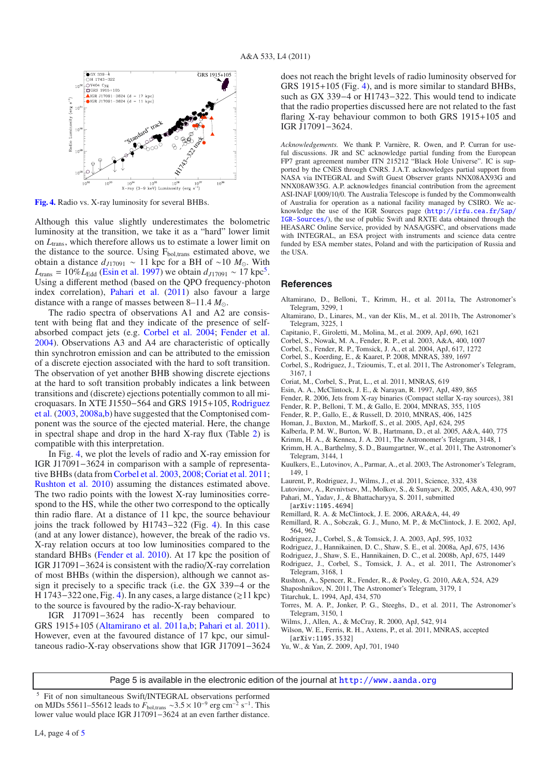

**[Fig. 4.](http://dexter.edpsciences.org/applet.php?DOI=10.1051/0004-6361/201117511&pdf_id=4)** Radio vs. X-ray luminosity for several BHBs.

Although this value slightly underestimates the bolometric luminosity at the transition, we take it as a "hard" lower limit on *L*trans, which therefore allows us to estimate a lower limit on the distance to the source. Using  $F_{bol,trans}$  estimated above, we obtain a distance  $d_{J17091}$  ~ 11 kpc for a BH of ~10  $M_{\odot}$ . With  $L_{trans} = 10\% L_{Edd}$  (Esin et al. 1997) we obtain  $d_{J17091} \sim 17$  kpc<sup>5</sup>. Using a different method (based on the QPO frequency-photon index correlation), Pahari et al. (2011) also favour a large distance with a range of masses between 8–11.4 *M*.

The radio spectra of observations A1 and A2 are consistent with being flat and they indicate of the presence of selfabsorbed compact jets (e.g. Corbel et al. 2004; Fender et al. 2004). Observations A3 and A4 are characteristic of optically thin synchrotron emission and can be attributed to the emission of a discrete ejection associated with the hard to soft transition. The observation of yet another BHB showing discrete ejections at the hard to soft transition probably indicates a link between transitions and (discrete) ejections potentially common to all microquasars. In XTE J1550−564 and GRS 1915+105, Rodriguez et al. (2003, 2008a,b) have suggested that the Comptonised component was the source of the ejected material. Here, the change in spectral shape and drop in the hard X-ray flux (Table 2) is compatible with this interpretation.

In Fig. 4, we plot the levels of radio and X-ray emission for IGR J17091−3624 in comparison with a sample of representative BHBs (data from Corbel et al. 2003, 2008; Coriat et al. 2011; Rushton et al. 2010) assuming the distances estimated above. The two radio points with the lowest X-ray luminosities correspond to the HS, while the other two correspond to the optically thin radio flare. At a distance of 11 kpc, the source behaviour joins the track followed by H1743−322 (Fig. 4). In this case (and at any lower distance), however, the break of the radio vs. X-ray relation occurs at too low luminosities compared to the standard BHBs (Fender et al. 2010). At 17 kpc the position of IGR J17091−3624 is consistent with the radio/X-ray correlation of most BHBs (within the dispersion), although we cannot assign it precisely to a specific track (i.e. the GX 339−4 or the H 1743–322 one, Fig. 4). In any cases, a large distance ( $\gtrsim$  11 kpc) to the source is favoured by the radio-X-ray behaviour.

IGR J17091−3624 has recently been compared to GRS 1915+105 (Altamirano et al. 2011a,b; Pahari et al. 2011). However, even at the favoured distance of 17 kpc, our simultaneous radio-X-ray observations show that IGR J17091−3624 does not reach the bright levels of radio luminosity observed for GRS 1915+105 (Fig. 4), and is more similar to standard BHBs, such as GX 339−4 or H1743−322. This would tend to indicate that the radio properties discussed here are not related to the fast flaring X-ray behaviour common to both GRS 1915+105 and IGR J17091−3624.

*Acknowledgements.* We thank P. Varnière, R. Owen, and P. Curran for useful discussions. JR and SC acknowledge partial funding from the European FP7 grant agreement number ITN 215212 "Black Hole Universe". IC is supported by the CNES through CNRS. J.A.T. acknowledges partial support from NASA via INTEGRAL and Swift Guest Observer grants NNX08AX93G and NNX08AW35G. A.P. acknowledges financial contribution from the agreement ASI-INAF I/009/10/0. The Australia Telescope is funded by the Commonwealth of Australia for operation as a national facility managed by CSIRO. We acknowledge the use of the IGR Sources page ([http://irfu.cea.fr/Sap/](http://irfu.cea.fr/Sap/IGR-Sources/) [IGR-Sources/](http://irfu.cea.fr/Sap/IGR-Sources/)), the use of public Swift and RXTE data obtained through the HEASARC Online Service, provided by NASA/GSFC, and observations made with INTEGRAL, an ESA project with instruments and science data centre funded by ESA member states, Poland and with the participation of Russia and the USA.

#### **References**

- Altamirano, D., Belloni, T., Krimm, H., et al. 2011a, The Astronomer's Telegram, 3299, 1
- Altamirano, D., Linares, M., van der Klis, M., et al. 2011b, The Astronomer's Telegram, 3225, 1
- Capitanio, F., Giroletti, M., Molina, M., et al. 2009, ApJ, 690, 1621
- Corbel, S., Nowak, M. A., Fender, R. P., et al. 2003, A&A, 400, 1007
- Corbel, S., Fender, R. P., Tomsick, J. A., et al. 2004, ApJ, 617, 1272
- Corbel, S., Koerding, E., & Kaaret, P. 2008, MNRAS, 389, 1697
- Corbel, S., Rodriguez, J., Tzioumis, T., et al. 2011, The Astronomer's Telegram, 3167, 1
- Coriat, M., Corbel, S., Prat, L., et al. 2011, MNRAS, 619
- Esin, A. A., McClintock, J. E., & Narayan, R. 1997, ApJ, 489, 865
- Fender, R. 2006, Jets from X-ray binaries (Compact stellar X-ray sources), 381
- Fender, R. P., Belloni, T. M., & Gallo, E. 2004, MNRAS, 355, 1105
- Fender, R. P., Gallo, E., & Russell, D. 2010, MNRAS, 406, 1425
- Homan, J., Buxton, M., Markoff, S., et al. 2005, ApJ, 624, 295
- Kalberla, P. M. W., Burton, W. B., Hartmann, D., et al. 2005, A&A, 440, 775
- Krimm, H. A., & Kennea, J. A. 2011, The Astronomer's Telegram, 3148, 1
- Krimm, H. A., Barthelmy, S. D., Baumgartner, W., et al. 2011, The Astronomer's Telegram, 3144, 1
- Kuulkers, E., Lutovinov, A., Parmar, A., et al. 2003, The Astronomer's Telegram, 149, 1
- Laurent, P., Rodriguez, J., Wilms, J., et al. 2011, Science, 332, 438
- Lutovinov, A., Revnivtsev, M., Molkov, S., & Sunyaev, R. 2005, A&A, 430, 997 Pahari, M., Yadav, J., & Bhattacharyya, S. 2011, submitted
- [arXiv:1105.4694]
- Remillard, R. A. & McClintock, J. E. 2006, ARA&A, 44, 49
- Remillard, R. A., Sobczak, G. J., Muno, M. P., & McClintock, J. E. 2002, ApJ, 564, 962
- Rodriguez, J., Corbel, S., & Tomsick, J. A. 2003, ApJ, 595, 1032
- Rodriguez, J., Hannikainen, D. C., Shaw, S. E., et al. 2008a, ApJ, 675, 1436
- Rodriguez, J., Shaw, S. E., Hannikainen, D. C., et al. 2008b, ApJ, 675, 1449
- Rodriguez, J., Corbel, S., Tomsick, J. A., et al. 2011, The Astronomer's Telegram, 3168, 1
- Rushton, A., Spencer, R., Fender, R., & Pooley, G. 2010, A&A, 524, A29
- Shaposhnikov, N. 2011, The Astronomer's Telegram, 3179, 1
- Titarchuk, L. 1994, ApJ, 434, 570
- Torres, M. A. P., Jonker, P. G., Steeghs, D., et al. 2011, The Astronomer's Telegram, 3150, 1
- Wilms, J., Allen, A., & McCray, R. 2000, ApJ, 542, 914
- Wilson, W. E., Ferris, R. H., Axtens, P., et al. 2011, MNRAS, accepted [arXiv:1105.3532]
- Yu, W., & Yan, Z. 2009, ApJ, 701, 1940

Page 5 is available in the electronic edition of the journal at <http://www.aanda.org>

Fit of non simultaneous Swift/INTEGRAL observations performed on MJDs 55611–55612 leads to  $F_{\text{bol,trans}} \sim 3.5 \times 10^{-9}$  erg cm<sup>-2</sup> s<sup>-1</sup>. This lower value would place IGR J17091−3624 at an even farther distance.